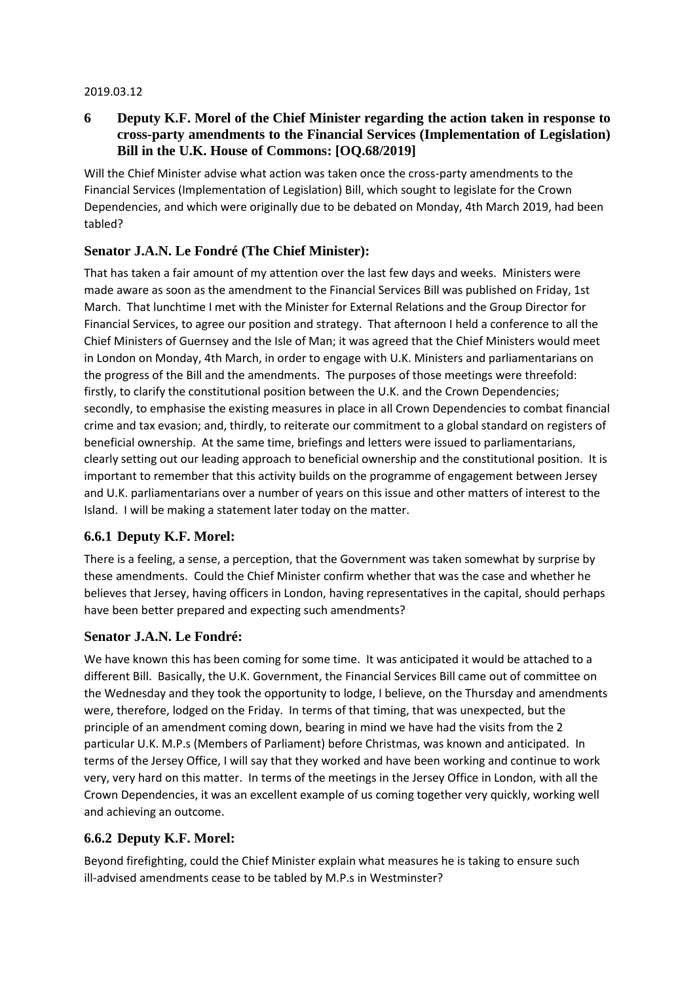#### 2019.03.12

## **6 Deputy K.F. Morel of the Chief Minister regarding the action taken in response to cross-party amendments to the Financial Services (Implementation of Legislation) Bill in the U.K. House of Commons: [OQ.68/2019]**

Will the Chief Minister advise what action was taken once the cross-party amendments to the Financial Services (Implementation of Legislation) Bill, which sought to legislate for the Crown Dependencies, and which were originally due to be debated on Monday, 4th March 2019, had been tabled?

# **Senator J.A.N. Le Fondré (The Chief Minister):**

That has taken a fair amount of my attention over the last few days and weeks. Ministers were made aware as soon as the amendment to the Financial Services Bill was published on Friday, 1st March. That lunchtime I met with the Minister for External Relations and the Group Director for Financial Services, to agree our position and strategy. That afternoon I held a conference to all the Chief Ministers of Guernsey and the Isle of Man; it was agreed that the Chief Ministers would meet in London on Monday, 4th March, in order to engage with U.K. Ministers and parliamentarians on the progress of the Bill and the amendments. The purposes of those meetings were threefold: firstly, to clarify the constitutional position between the U.K. and the Crown Dependencies; secondly, to emphasise the existing measures in place in all Crown Dependencies to combat financial crime and tax evasion; and, thirdly, to reiterate our commitment to a global standard on registers of beneficial ownership. At the same time, briefings and letters were issued to parliamentarians, clearly setting out our leading approach to beneficial ownership and the constitutional position. It is important to remember that this activity builds on the programme of engagement between Jersey and U.K. parliamentarians over a number of years on this issue and other matters of interest to the Island. I will be making a statement later today on the matter.

## **6.6.1 Deputy K.F. Morel:**

There is a feeling, a sense, a perception, that the Government was taken somewhat by surprise by these amendments. Could the Chief Minister confirm whether that was the case and whether he believes that Jersey, having officers in London, having representatives in the capital, should perhaps have been better prepared and expecting such amendments?

## **Senator J.A.N. Le Fondré:**

We have known this has been coming for some time. It was anticipated it would be attached to a different Bill. Basically, the U.K. Government, the Financial Services Bill came out of committee on the Wednesday and they took the opportunity to lodge, I believe, on the Thursday and amendments were, therefore, lodged on the Friday. In terms of that timing, that was unexpected, but the principle of an amendment coming down, bearing in mind we have had the visits from the 2 particular U.K. M.P.s (Members of Parliament) before Christmas, was known and anticipated. In terms of the Jersey Office, I will say that they worked and have been working and continue to work very, very hard on this matter. In terms of the meetings in the Jersey Office in London, with all the Crown Dependencies, it was an excellent example of us coming together very quickly, working well and achieving an outcome.

#### **6.6.2 Deputy K.F. Morel:**

Beyond firefighting, could the Chief Minister explain what measures he is taking to ensure such ill-advised amendments cease to be tabled by M.P.s in Westminster?